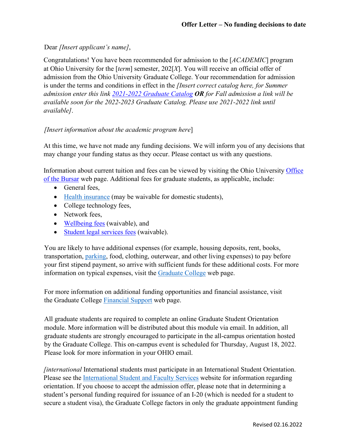## Dear *[Insert applicant's name]*,

Congratulations! You have been recommended for admission to the [*ACADEMIC*] program at Ohio University for the [*term*] semester, 202[*X*]. You will receive an official offer of admission from the Ohio University Graduate College. Your recommendation for admission is under the terms and conditions in effect in the *[Insert correct catalog here, for Summer admission enter this link [2021-2022 Graduate Catalog](https://www.catalogs.ohio.edu/index.php?catoid=71) OR for Fall admission a link will be available soon for the 2022-2023 Graduate Catalog. Please use 2021-2022 link until available]*.

## *[Insert information about the academic program here*]

At this time, we have not made any funding decisions. We will inform you of any decisions that may change your funding status as they occur. Please contact us with any questions.

Information about current tuition and fees can be viewed by visiting the Ohio University [Office](https://www.ohio.edu/bursar/graduate-tuition) [of the Bursar](https://www.ohio.edu/graduate/prospective-students/tuition) web [page. A](https://www.ohio.edu/bursar/graduate-tuition.cfm)dditional fees for graduate students, as applicable, include:

- General fees,
- [Health insurance](https://www.ohio.edu/student-insurance/) (may be waivable for domestic students),
- College technology fees,
- Network fees,
- [Wellbeing fees](https://www.ohio.edu/student-affairs/wellbeing) (waivable), and
- [Student legal services fees](https://www.studentlegalrights.org/) (waivable).

You are likely to have additional expenses (for example, housing deposits, rent, books, transportation, [parking,](https://www.ohio.edu/parking/index.cfm) food, clothing, outerwear, and other living expenses) to pay before your first stipend payment, so arrive with sufficient funds for these additional costs. For more information on typical expenses, visit the [Graduate College](https://www.ohio.edu/graduate/prospective-students/tuition) web page.

For more information on additional funding opportunities and financial assistance, visit the Graduate College [Financial Support](https://www.ohio.edu/graduate/prospective-students/financial-support) web page.

All graduate students are required to complete an online Graduate Student Orientation module. More information will be distributed about this module via email. In addition, all graduate students are strongly encouraged to participate in the all-campus orientation hosted by the Graduate College. This on-campus event is scheduled for Thursday, August 18, 2022. Please look for more information in your OHIO email.

*[international* International students must participate in an International Student Orientation. Please see the [International Student and Faculty Services](https://www.ohio.edu/global/isfs/index.cfm) website for information regarding orientation. If you choose to accept the admission offer, please note that in determining a student's personal funding required for issuance of an I-20 (which is needed for a student to secure a student visa), the Graduate College factors in only the graduate appointment funding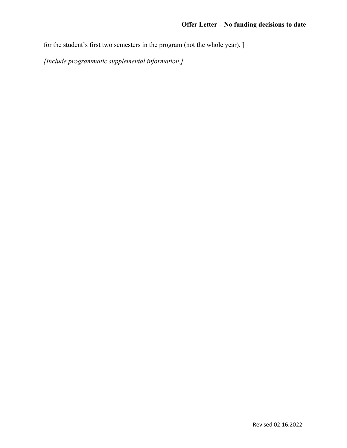for the student's first two semesters in the program (not the whole year). ]

*[Include programmatic supplemental information.]*